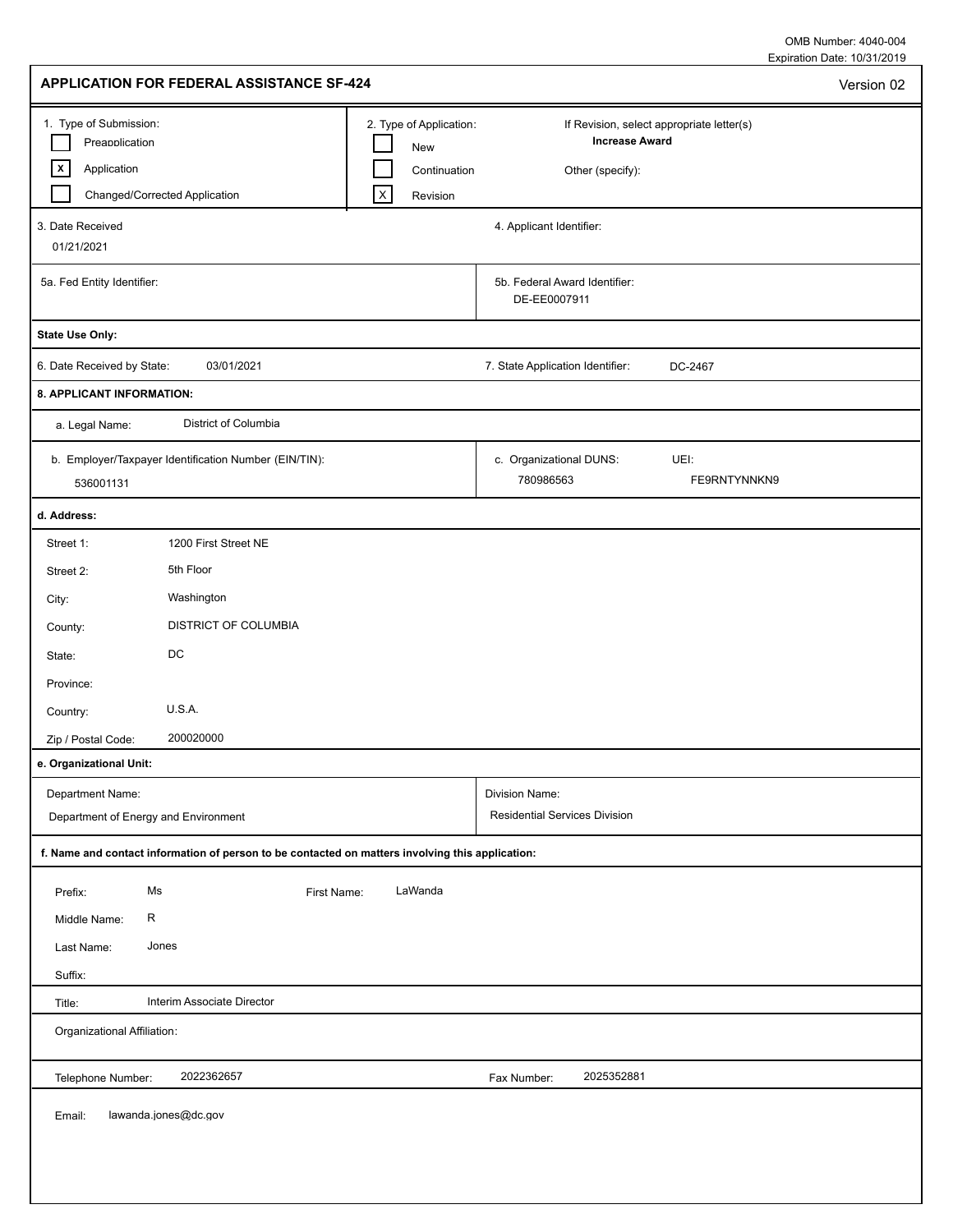Expiration Date: 10/31/2019 OMB Number: 4040-004

| APPLICATION FOR FEDERAL ASSISTANCE SF-424                                                                                                                           |                                                                                                                           | Version 02   |
|---------------------------------------------------------------------------------------------------------------------------------------------------------------------|---------------------------------------------------------------------------------------------------------------------------|--------------|
| 1. Type of Submission:<br>2. Type of Application:<br>Preapplication<br>$\vert x \vert$<br>Application<br>$\boldsymbol{\mathsf{X}}$<br>Changed/Corrected Application | If Revision, select appropriate letter(s)<br><b>Increase Award</b><br>New<br>Continuation<br>Other (specify):<br>Revision |              |
| 3. Date Received<br>01/21/2021                                                                                                                                      | 4. Applicant Identifier:                                                                                                  |              |
| 5a. Fed Entity Identifier:                                                                                                                                          | 5b. Federal Award Identifier:<br>DE-EE0007911                                                                             |              |
| <b>State Use Only:</b>                                                                                                                                              |                                                                                                                           |              |
| 03/01/2021<br>6. Date Received by State:                                                                                                                            | 7. State Application Identifier:<br>DC-2467                                                                               |              |
| 8. APPLICANT INFORMATION:                                                                                                                                           |                                                                                                                           |              |
| District of Columbia<br>a. Legal Name:                                                                                                                              |                                                                                                                           |              |
| b. Employer/Taxpayer Identification Number (EIN/TIN):<br>536001131                                                                                                  | c. Organizational DUNS:<br>UEI:<br>780986563                                                                              | FE9RNTYNNKN9 |
| d. Address:                                                                                                                                                         |                                                                                                                           |              |
| Street 1:<br>1200 First Street NE                                                                                                                                   |                                                                                                                           |              |
| 5th Floor<br>Street 2:                                                                                                                                              |                                                                                                                           |              |
| Washington<br>City:                                                                                                                                                 |                                                                                                                           |              |
| DISTRICT OF COLUMBIA<br>County:                                                                                                                                     |                                                                                                                           |              |
| $\mathsf{DC}$<br>State:                                                                                                                                             |                                                                                                                           |              |
| Province:                                                                                                                                                           |                                                                                                                           |              |
| U.S.A.<br>Country:                                                                                                                                                  |                                                                                                                           |              |
| 200020000<br>Zip / Postal Code:                                                                                                                                     |                                                                                                                           |              |
| e. Organizational Unit:                                                                                                                                             |                                                                                                                           |              |
| Department Name:<br>Department of Energy and Environment                                                                                                            | Division Name:<br><b>Residential Services Division</b>                                                                    |              |
| f. Name and contact information of person to be contacted on matters involving this application:                                                                    |                                                                                                                           |              |
| Ms<br>LaWanda<br>First Name:<br>Prefix:                                                                                                                             |                                                                                                                           |              |
| R<br>Middle Name:                                                                                                                                                   |                                                                                                                           |              |
| Last Name:<br>Jones                                                                                                                                                 |                                                                                                                           |              |
| Suffix:                                                                                                                                                             |                                                                                                                           |              |
| Interim Associate Director<br>Title:                                                                                                                                |                                                                                                                           |              |
| Organizational Affiliation:                                                                                                                                         |                                                                                                                           |              |
| 2022362657<br>Telephone Number:                                                                                                                                     | 2025352881<br>Fax Number:                                                                                                 |              |
| lawanda.jones@dc.gov<br>Email:                                                                                                                                      |                                                                                                                           |              |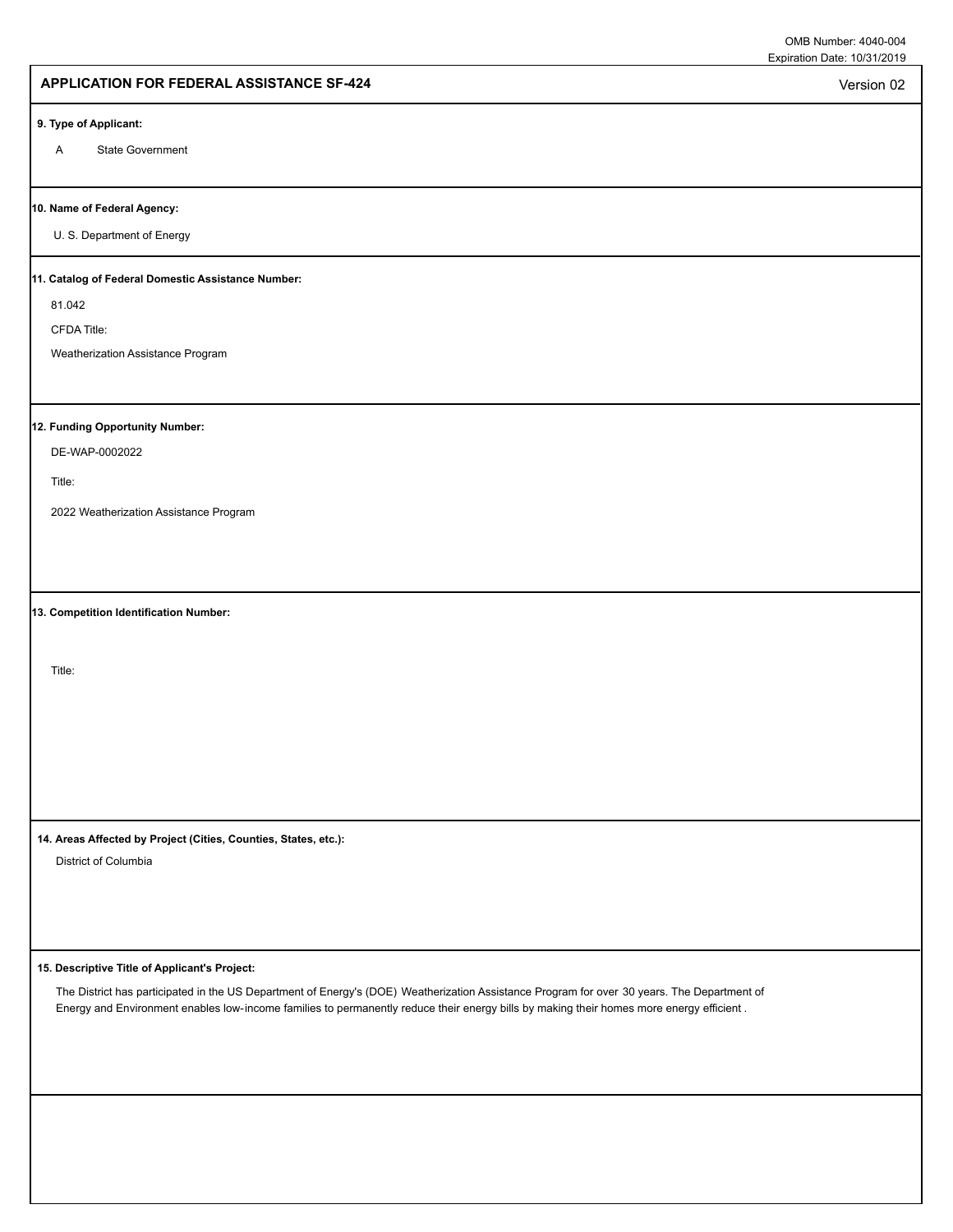Version 02

## **APPLICATION FOR FEDERAL ASSISTANCE SF-424**

#### **9. Type of Applicant:**

A State Government

#### **10. Name of Federal Agency:**

U. S. Department of Energy

### **11. Catalog of Federal Domestic Assistance Number:**

81.042

CFDA Title:

Weatherization Assistance Program

### **12. Funding Opportunity Number:**

DE-WAP-0002022

Title:

2022 Weatherization Assistance Program

**13. Competition Identification Number:**

Title:

**14. Areas Affected by Project (Cities, Counties, States, etc.):**

District of Columbia

#### **15. Descriptive Title of Applicant's Project:**

The District has participated in the US Department of Energy's (DOE) Weatherization Assistance Program for over 30 years. The Department of Energy and Environment enables low-income families to permanently reduce their energy bills by making their homes more energy efficient .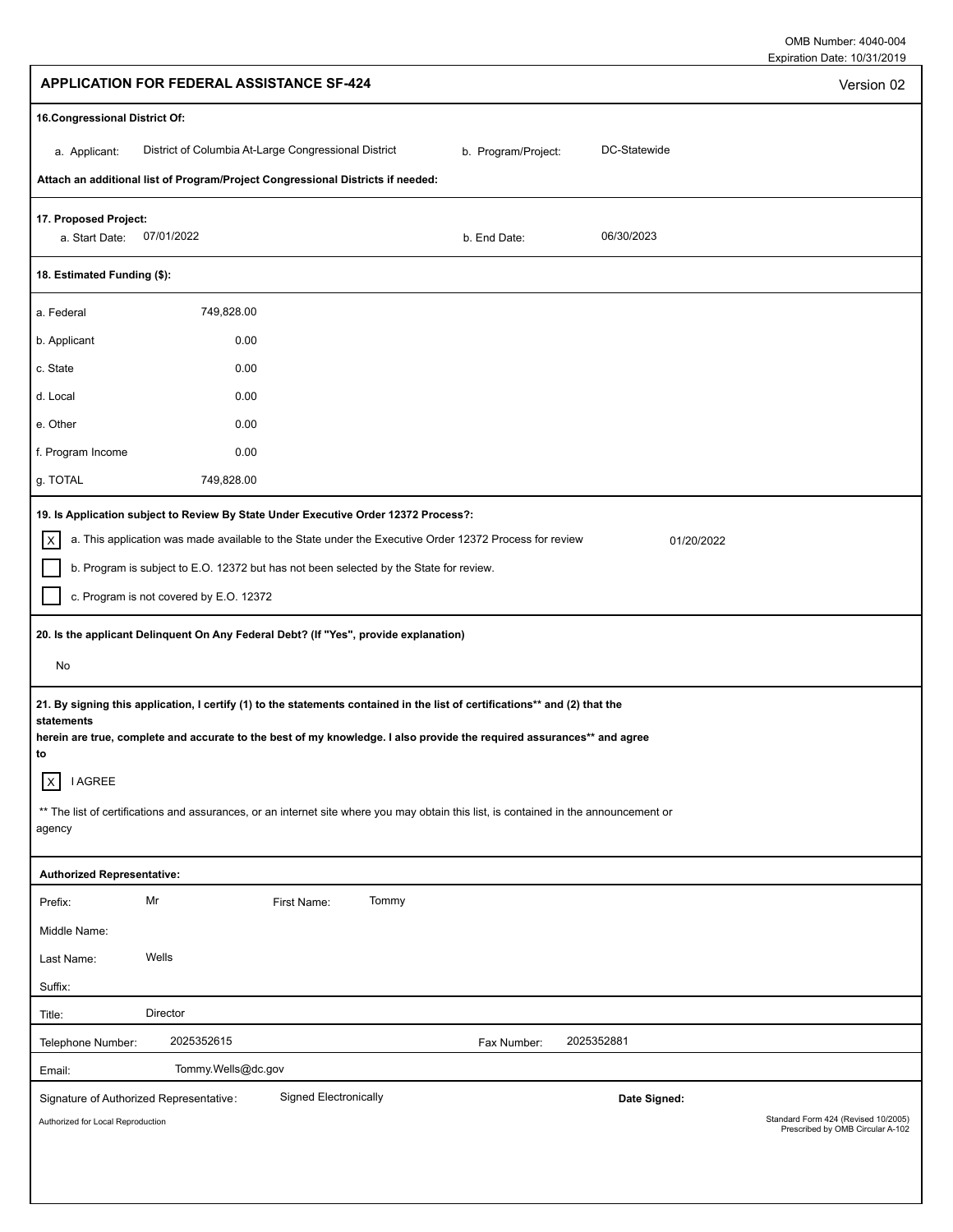Expiration Date: 10/31/2019 OMB Number: 4040-004

|                                                                                                                    |                                                                                                                                                                                                                                                                                                                                                                                                                                                                                                                                                                                                                                                                                            |                     |              | L                                   |
|--------------------------------------------------------------------------------------------------------------------|--------------------------------------------------------------------------------------------------------------------------------------------------------------------------------------------------------------------------------------------------------------------------------------------------------------------------------------------------------------------------------------------------------------------------------------------------------------------------------------------------------------------------------------------------------------------------------------------------------------------------------------------------------------------------------------------|---------------------|--------------|-------------------------------------|
|                                                                                                                    | <b>APPLICATION FOR FEDERAL ASSISTANCE SF-424</b>                                                                                                                                                                                                                                                                                                                                                                                                                                                                                                                                                                                                                                           |                     |              | Version 02                          |
| 16. Congressional District Of:                                                                                     |                                                                                                                                                                                                                                                                                                                                                                                                                                                                                                                                                                                                                                                                                            |                     |              |                                     |
| a. Applicant:                                                                                                      | District of Columbia At-Large Congressional District                                                                                                                                                                                                                                                                                                                                                                                                                                                                                                                                                                                                                                       | b. Program/Project: | DC-Statewide |                                     |
|                                                                                                                    | Attach an additional list of Program/Project Congressional Districts if needed:                                                                                                                                                                                                                                                                                                                                                                                                                                                                                                                                                                                                            |                     |              |                                     |
| 17. Proposed Project:<br>07/01/2022<br>a. Start Date:                                                              |                                                                                                                                                                                                                                                                                                                                                                                                                                                                                                                                                                                                                                                                                            | b. End Date:        | 06/30/2023   |                                     |
| 18. Estimated Funding (\$):                                                                                        |                                                                                                                                                                                                                                                                                                                                                                                                                                                                                                                                                                                                                                                                                            |                     |              |                                     |
| a. Federal                                                                                                         | 749,828.00                                                                                                                                                                                                                                                                                                                                                                                                                                                                                                                                                                                                                                                                                 |                     |              |                                     |
| b. Applicant                                                                                                       | 0.00                                                                                                                                                                                                                                                                                                                                                                                                                                                                                                                                                                                                                                                                                       |                     |              |                                     |
| c. State                                                                                                           | 0.00                                                                                                                                                                                                                                                                                                                                                                                                                                                                                                                                                                                                                                                                                       |                     |              |                                     |
| d. Local                                                                                                           | 0.00                                                                                                                                                                                                                                                                                                                                                                                                                                                                                                                                                                                                                                                                                       |                     |              |                                     |
| e. Other                                                                                                           | 0.00                                                                                                                                                                                                                                                                                                                                                                                                                                                                                                                                                                                                                                                                                       |                     |              |                                     |
| f. Program Income                                                                                                  | 0.00                                                                                                                                                                                                                                                                                                                                                                                                                                                                                                                                                                                                                                                                                       |                     |              |                                     |
| g. TOTAL                                                                                                           | 749,828.00                                                                                                                                                                                                                                                                                                                                                                                                                                                                                                                                                                                                                                                                                 |                     |              |                                     |
| x<br>c. Program is not covered by E.O. 12372<br>No<br>statements<br>to<br>$\mathsf{X}$<br><b>I AGREE</b><br>agency | a. This application was made available to the State under the Executive Order 12372 Process for review<br>b. Program is subject to E.O. 12372 but has not been selected by the State for review.<br>20. Is the applicant Delinquent On Any Federal Debt? (If "Yes", provide explanation)<br>21. By signing this application, I certify (1) to the statements contained in the list of certifications** and (2) that the<br>herein are true, complete and accurate to the best of my knowledge. I also provide the required assurances** and agree<br>** The list of certifications and assurances, or an internet site where you may obtain this list, is contained in the announcement or |                     | 01/20/2022   |                                     |
|                                                                                                                    |                                                                                                                                                                                                                                                                                                                                                                                                                                                                                                                                                                                                                                                                                            |                     |              |                                     |
| <b>Authorized Representative:</b>                                                                                  |                                                                                                                                                                                                                                                                                                                                                                                                                                                                                                                                                                                                                                                                                            |                     |              |                                     |
| Mr<br>Prefix:                                                                                                      | Tommy<br>First Name:                                                                                                                                                                                                                                                                                                                                                                                                                                                                                                                                                                                                                                                                       |                     |              |                                     |
| Middle Name:                                                                                                       |                                                                                                                                                                                                                                                                                                                                                                                                                                                                                                                                                                                                                                                                                            |                     |              |                                     |
| Wells<br>Last Name:                                                                                                |                                                                                                                                                                                                                                                                                                                                                                                                                                                                                                                                                                                                                                                                                            |                     |              |                                     |
| Suffix:                                                                                                            |                                                                                                                                                                                                                                                                                                                                                                                                                                                                                                                                                                                                                                                                                            |                     |              |                                     |
| Director<br>Title:                                                                                                 |                                                                                                                                                                                                                                                                                                                                                                                                                                                                                                                                                                                                                                                                                            |                     |              |                                     |
| Telephone Number:                                                                                                  | 2025352615                                                                                                                                                                                                                                                                                                                                                                                                                                                                                                                                                                                                                                                                                 | Fax Number:         | 2025352881   |                                     |
| Email:                                                                                                             | Tommy.Wells@dc.gov                                                                                                                                                                                                                                                                                                                                                                                                                                                                                                                                                                                                                                                                         |                     |              |                                     |
| Signature of Authorized Representative:<br>Authorized for Local Reproduction                                       | <b>Signed Electronically</b>                                                                                                                                                                                                                                                                                                                                                                                                                                                                                                                                                                                                                                                               |                     | Date Signed: | Standard Form 424 (Revised 10/2005) |
|                                                                                                                    |                                                                                                                                                                                                                                                                                                                                                                                                                                                                                                                                                                                                                                                                                            |                     |              | Prescribed by OMB Circular A-102    |
|                                                                                                                    |                                                                                                                                                                                                                                                                                                                                                                                                                                                                                                                                                                                                                                                                                            |                     |              |                                     |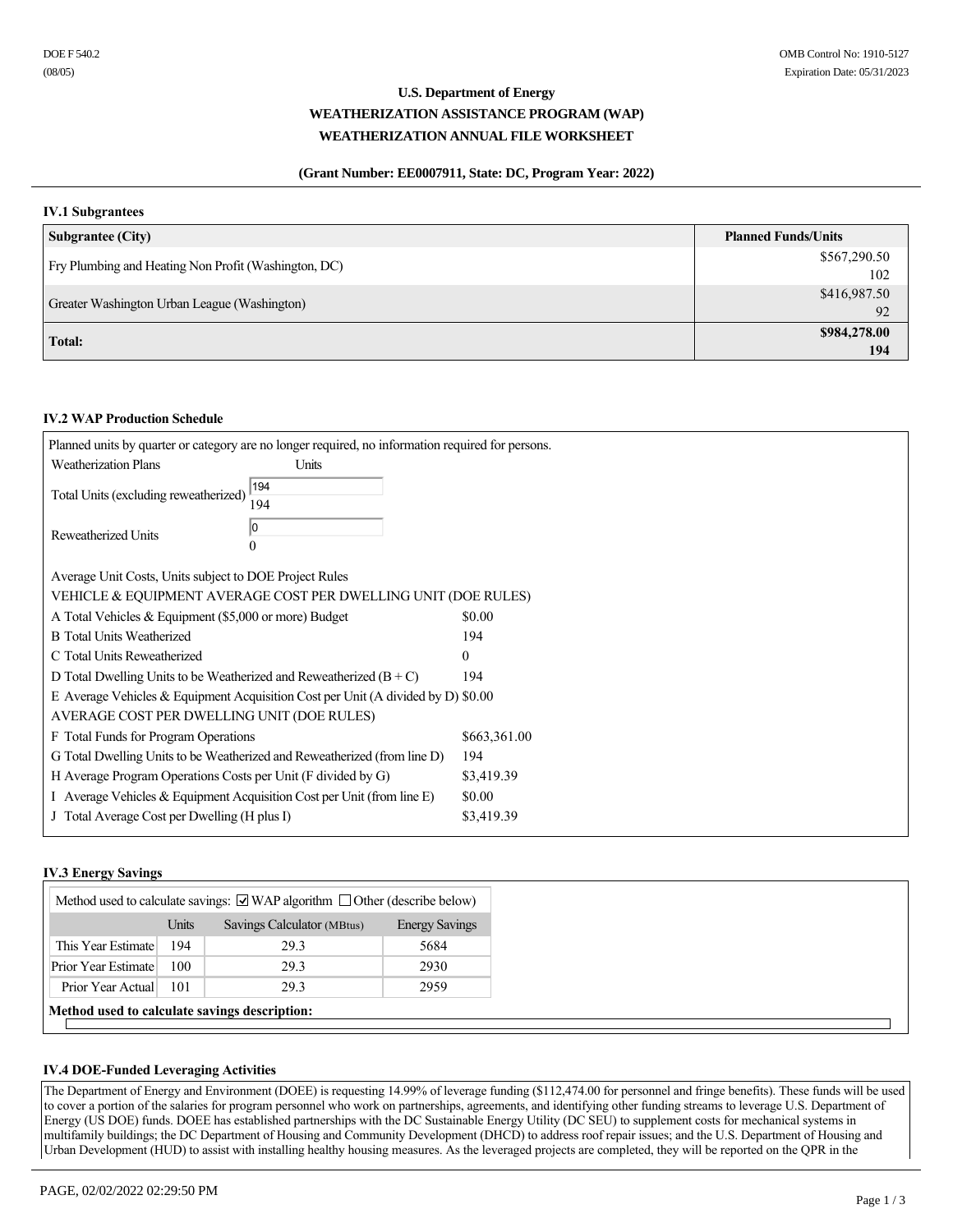# **U.S. Department of Energy WEATHERIZATION ASSISTANCE PROGRAM (WAP) WEATHERIZATION ANNUAL FILE WORKSHEET**

## **(Grant Number: EE0007911, State: DC, Program Year: 2022)**

## **IV.1 Subgrantees**

| <b>Subgrantee (City)</b>                             | <b>Planned Funds/Units</b> |
|------------------------------------------------------|----------------------------|
| Fry Plumbing and Heating Non Profit (Washington, DC) | \$567,290.50               |
|                                                      | 102                        |
| Greater Washington Urban League (Washington)         | \$416,987.50               |
|                                                      | 92                         |
| Total:                                               | \$984,278.00               |
|                                                      | 194                        |

### **IV.2 WAP Production Schedule**

|                                                                    | Planned units by quarter or category are no longer required, no information required for persons. |              |
|--------------------------------------------------------------------|---------------------------------------------------------------------------------------------------|--------------|
| <b>Weatherization Plans</b>                                        | Units                                                                                             |              |
| Total Units (excluding reweatherized)                              | 194<br>194                                                                                        |              |
| Reweatherized Units                                                | 10                                                                                                |              |
| Average Unit Costs, Units subject to DOE Project Rules             |                                                                                                   |              |
|                                                                    | VEHICLE & EQUIPMENT AVERAGE COST PER DWELLING UNIT (DOE RULES)                                    |              |
| A Total Vehicles & Equipment (\$5,000 or more) Budget              |                                                                                                   | \$0.00       |
| <b>B</b> Total Units Weatherized                                   |                                                                                                   | 194          |
| C Total Units Reweatherized                                        |                                                                                                   | $\mathbf{0}$ |
| D Total Dwelling Units to be Weatherized and Reweatherized $(B+C)$ |                                                                                                   | 194          |
|                                                                    | E Average Vehicles & Equipment Acquisition Cost per Unit (A divided by D) \$0.00                  |              |
| AVERAGE COST PER DWELLING UNIT (DOE RULES)                         |                                                                                                   |              |
| F Total Funds for Program Operations                               |                                                                                                   | \$663,361.00 |
|                                                                    | G Total Dwelling Units to be Weatherized and Reweatherized (from line D)                          | 194          |
| H Average Program Operations Costs per Unit (F divided by G)       |                                                                                                   | \$3,419.39   |
|                                                                    | I Average Vehicles & Equipment Acquisition Cost per Unit (from line E)                            | \$0.00       |
| J Total Average Cost per Dwelling (H plus I)                       |                                                                                                   | \$3,419.39   |
|                                                                    |                                                                                                   |              |

## **IV.3 Energy Savings**

| Method used to calculate savings: $\Box$ WAP algorithm $\Box$ Other (describe below) |     |      |      |  |  |  |
|--------------------------------------------------------------------------------------|-----|------|------|--|--|--|
| Units<br>Savings Calculator (MBtus)<br><b>Energy Savings</b>                         |     |      |      |  |  |  |
| This Year Estimate                                                                   | 194 | 29.3 | 5684 |  |  |  |
| Prior Year Estimate                                                                  | 100 | 29.3 | 2930 |  |  |  |
| Prior Year Actual                                                                    | 101 | 29.3 | 2959 |  |  |  |
| Method used to calculate savings description:                                        |     |      |      |  |  |  |

### **IV.4 DOE-Funded Leveraging Activities**

The Department of Energy and Environment (DOEE) is requesting 14.99% of leverage funding (\$112,474.00 for personnel and fringe benefits). These funds will be used to cover a portion of the salaries for program personnel who work on partnerships, agreements, and identifying other funding streams to leverage U.S. Department of Energy (US DOE) funds. DOEE has established partnerships with the DC Sustainable Energy Utility (DC SEU) to supplement costs for mechanical systems in multifamily buildings; the DC Department of Housing and Community Development (DHCD) to address roof repair issues; and the U.S. Department of Housing and Urban Development (HUD) to assist with installing healthy housing measures. As the leveraged projects are completed, they will be reported on the QPR in the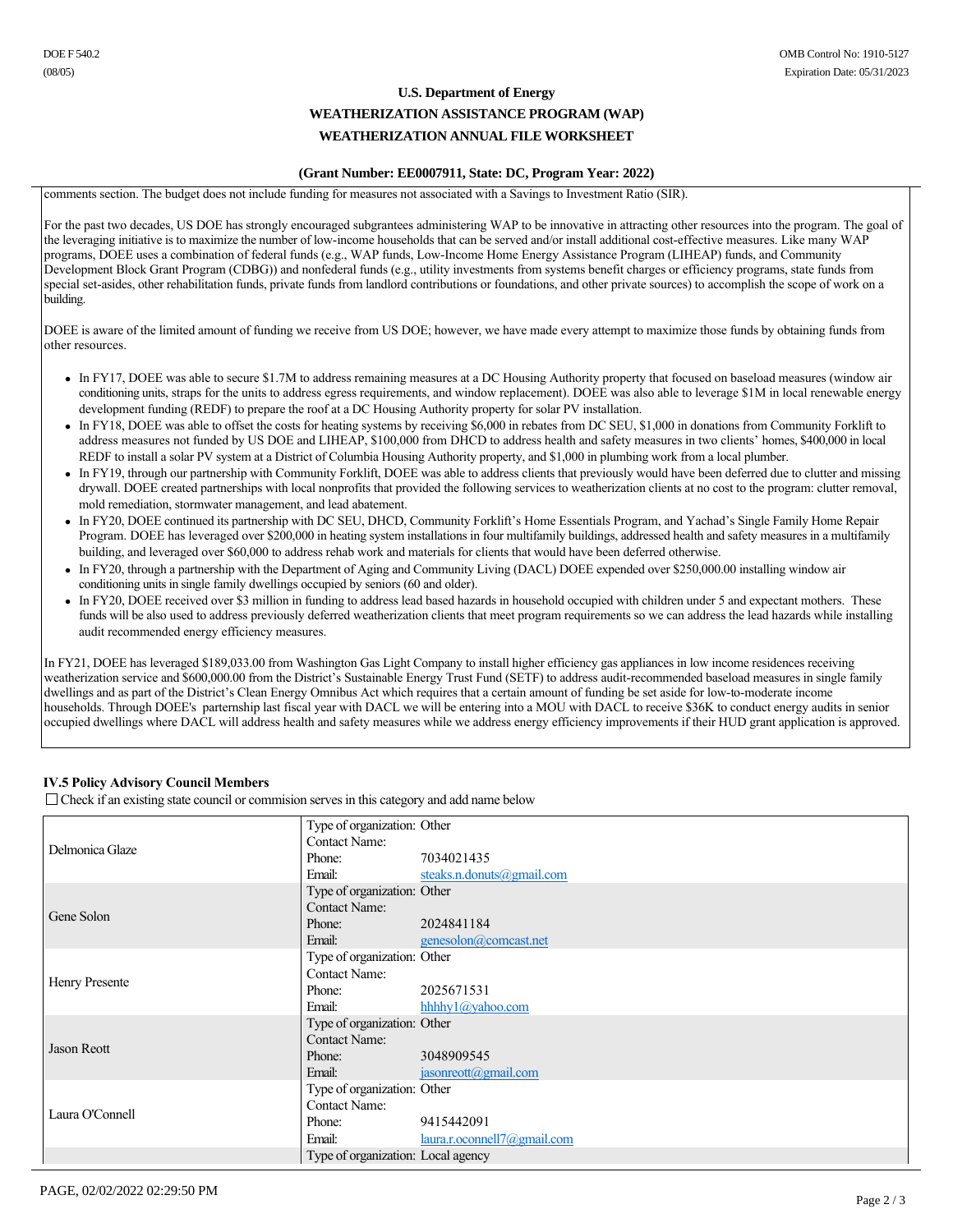# **U.S. Department of Energy WEATHERIZATION ASSISTANCE PROGRAM (WAP) WEATHERIZATION ANNUAL FILE WORKSHEET**

### **(Grant Number: EE0007911, State: DC, Program Year: 2022)**

comments section. The budget does not include funding for measures not associated with a Savings to Investment Ratio (SIR).

For the past two decades, US DOE has strongly encouraged subgrantees administering WAP to be innovative in attracting other resources into the program. The goal of the leveraging initiative is to maximize the number of low-income households that can be served and/or install additional cost-effective measures. Like many WAP programs, DOEE uses a combination of federal funds (e.g., WAP funds, Low-Income Home Energy Assistance Program (LIHEAP) funds, and Community Development Block Grant Program (CDBG)) and nonfederal funds (e.g., utility investments from systems benefit charges or efficiency programs, state funds from special set-asides, other rehabilitation funds, private funds from landlord contributions or foundations, and other private sources) to accomplish the scope of work on a building.

DOEE is aware of the limited amount of funding we receive from US DOE; however, we have made every attempt to maximize those funds by obtaining funds from other resources.

- In FY17, DOEE was able to secure \$1.7M to address remaining measures at a DC Housing Authority property that focused on baseload measures (window air conditioning units, straps for the units to address egress requirements, and window replacement). DOEE was also able to leverage \$1M in local renewable energy development funding (REDF) to prepare the roof at a DC Housing Authority property for solar PV installation.
- <sup>l</sup> In FY18, DOEE was able to offset the costs for heating systems by receiving \$6,000 in rebates from DC SEU, \$1,000 in donations from Community Forklift to address measures not funded by US DOE and LIHEAP, \$100,000 from DHCD to address health and safety measures in two clients' homes, \$400,000 in local REDF to install a solar PV system at a District of Columbia Housing Authority property, and \$1,000 in plumbing work from a local plumber.
- In FY19, through our partnership with Community Forklift, DOEE was able to address clients that previously would have been deferred due to clutter and missing drywall. DOEE created partnerships with local nonprofits that provided the following services to weatherization clients at no cost to the program: clutter removal, mold remediation, stormwater management, and lead abatement.
- In FY20, DOEE continued its partnership with DC SEU, DHCD, Community Forklift's Home Essentials Program, and Yachad's Single Family Home Repair Program. DOEE has leveraged over \$200,000 in heating system installations in four multifamily buildings, addressed health and safety measures in a multifamily building, and leveraged over \$60,000 to address rehab work and materials for clients that would have been deferred otherwise.
- In FY20, through a partnership with the Department of Aging and Community Living (DACL) DOEE expended over \$250,000.00 installing window air conditioning units in single family dwellings occupied by seniors (60 and older).
- In FY20, DOEE received over \$3 million in funding to address lead based hazards in household occupied with children under 5 and expectant mothers. These funds will be also used to address previously deferred weatherization clients that meet program requirements so we can address the lead hazards while installing audit recommended energy efficiency measures.

In FY21, DOEE has leveraged \$189,033.00 from Washington Gas Light Company to install higher efficiency gas appliances in low income residences receiving weatherization service and \$600,000.00 from the District's Sustainable Energy Trust Fund (SETF) to address audit-recommended baseload measures in single family dwellings and as part of the District's Clean Energy Omnibus Act which requires that a certain amount of funding be set aside for low-to-moderate income households. Through DOEE's parternship last fiscal year with DACL we will be entering into a MOU with DACL to receive \$36K to conduct energy audits in senior occupied dwellings where DACL will address health and safety measures while we address energy efficiency improvements if their HUD grant application is approved.

## **IV.5 Policy Advisory Council Members**

 $\Box$  Check if an existing state council or commision serves in this category and add name below

|                 | Type of organization: Other        |                                  |
|-----------------|------------------------------------|----------------------------------|
| Delmonica Glaze | <b>Contact Name:</b>               |                                  |
|                 | Phone:                             | 7034021435                       |
|                 | Email:                             | steaks.n.donuts@gmail.com        |
|                 | Type of organization: Other        |                                  |
| Gene Solon      | <b>Contact Name:</b>               |                                  |
|                 | Phone:                             | 2024841184                       |
|                 | Email:                             | genesolon@comcast.net            |
|                 | Type of organization: Other        |                                  |
| Henry Presente  | <b>Contact Name:</b>               |                                  |
|                 | Phone:                             | 2025671531                       |
|                 | Email:                             | hhhhy $1$ ( $\partial$ yahoo.com |
|                 | Type of organization: Other        |                                  |
| Jason Reott     | <b>Contact Name:</b>               |                                  |
|                 | Phone:                             | 3048909545                       |
|                 | Email:                             | jasonreott@gmail.com             |
|                 | Type of organization: Other        |                                  |
| Laura O'Connell | <b>Contact Name:</b>               |                                  |
|                 | Phone:                             | 9415442091                       |
|                 | Email:                             | $laura.r. ocomnel17(a)gmail.com$ |
|                 | Type of organization: Local agency |                                  |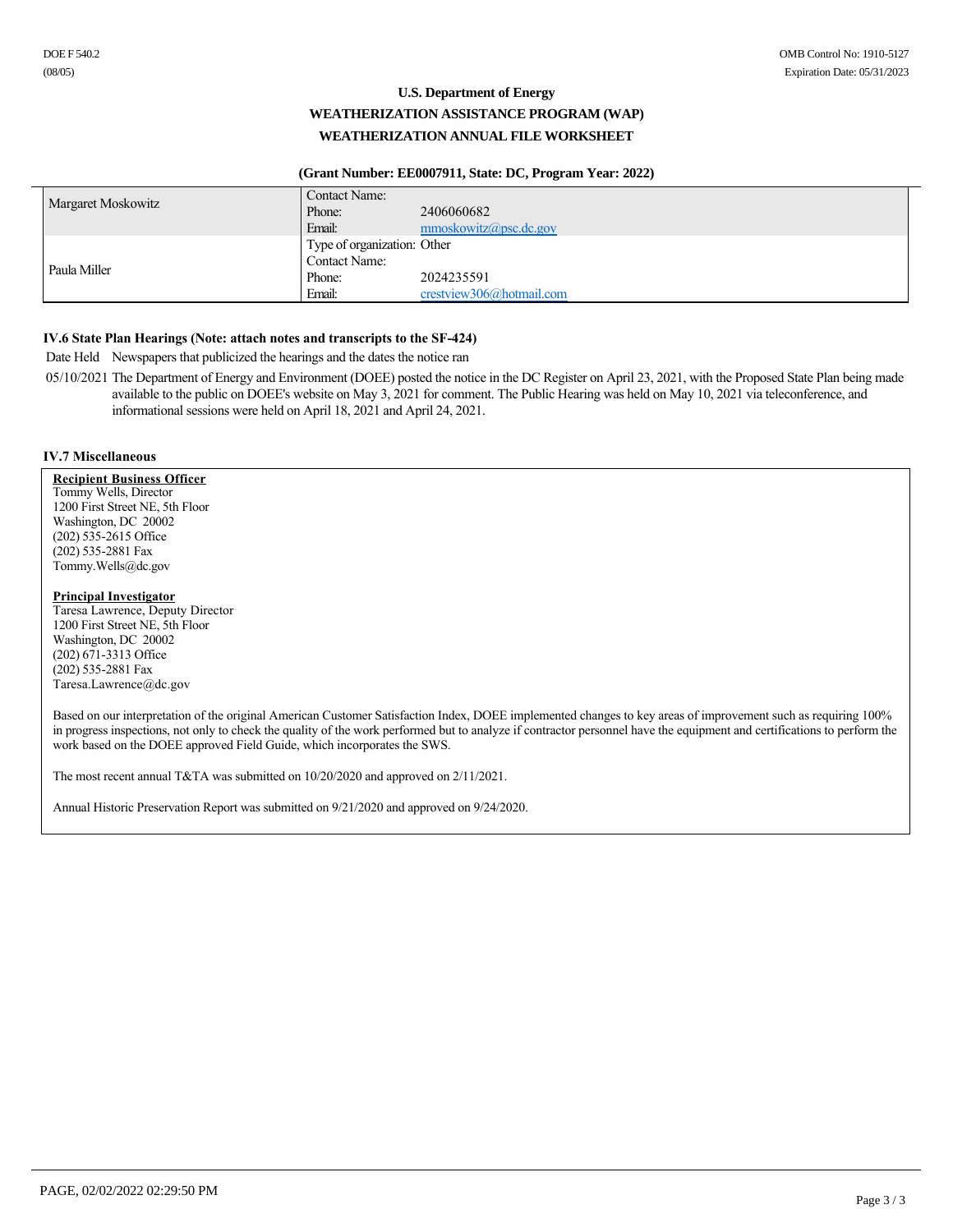# **U.S. Department of Energy WEATHERIZATION ASSISTANCE PROGRAM (WAP) WEATHERIZATION ANNUAL FILE WORKSHEET**

### **(Grant Number: EE0007911, State: DC, Program Year: 2022)**

|                    | Contact Name:               |                            |
|--------------------|-----------------------------|----------------------------|
| Margaret Moskowitz | Phone:                      | 2406060682                 |
|                    | Email:                      | $mmoskowitz(a)$ psc.dc.gov |
|                    | Type of organization: Other |                            |
| Paula Miller       | <b>Contact Name:</b>        |                            |
|                    | Phone:                      | 2024235591                 |
|                    | Email:                      | crestview306@hotmail.com   |

### **IV.6 State Plan Hearings (Note: attach notes and transcripts to the SF-424)**

Date Held Newspapers that publicized the hearings and the dates the notice ran

05/10/2021 The Department of Energy and Environment (DOEE) posted the notice in the DC Register on April 23, 2021, with the Proposed State Plan being made available to the public on DOEE's website on May 3, 2021 for comment. The Public Hearing was held on May 10, 2021 via teleconference, and informational sessions were held on April 18, 2021 and April 24, 2021.

### **IV.7 Miscellaneous**

**Recipient Business Officer** Tommy Wells, Director 1200 First Street NE, 5th Floor Washington, DC 20002 (202) 5352615 Office (202) 5352881 Fax Tommy.Wells@dc.gov

### **Principal Investigator**

Taresa Lawrence, Deputy Director 1200 First Street NE, 5th Floor Washington, DC 20002  $(202)$   $671-3313$  Office (202) 5352881 Fax Taresa.Lawrence@dc.gov

Based on our interpretation of the original American Customer Satisfaction Index, DOEE implemented changes to key areas of improvement such as requiring 100% in progress inspections, not only to check the quality of the work performed but to analyze if contractor personnel have the equipment and certifications to perform the work based on the DOEE approved Field Guide, which incorporates the SWS.

The most recent annual T&TA was submitted on 10/20/2020 and approved on 2/11/2021.

Annual Historic Preservation Report was submitted on 9/21/2020 and approved on 9/24/2020.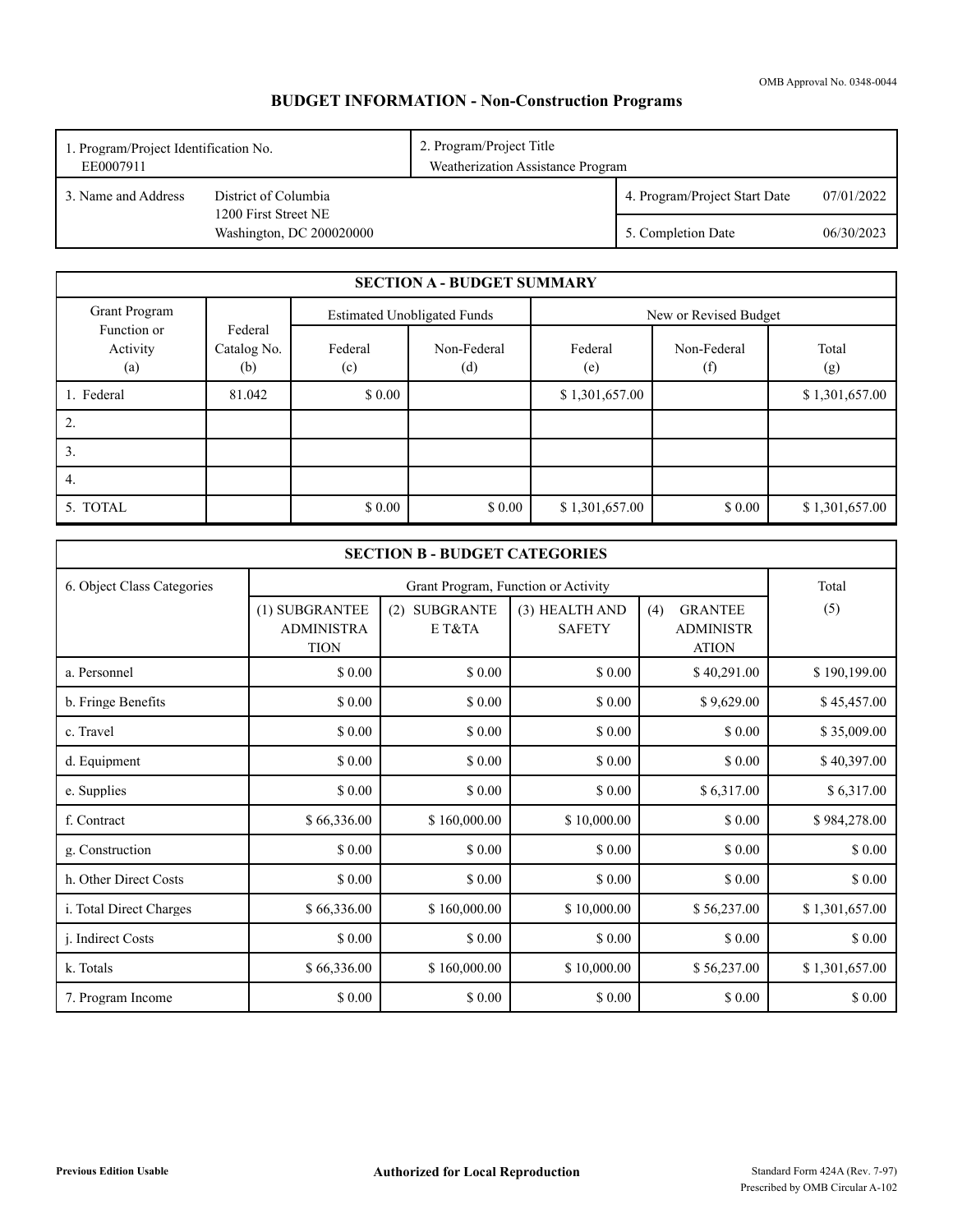# **BUDGET INFORMATION - Non-Construction Programs**

| 2. Program/Project Title<br>1. Program/Project Identification No.<br>Weatherization Assistance Program<br>EE0007911 |                                                  |  |                               |            |
|---------------------------------------------------------------------------------------------------------------------|--------------------------------------------------|--|-------------------------------|------------|
| 3. Name and Address<br>District of Columbia                                                                         |                                                  |  | 4. Program/Project Start Date | 07/01/2022 |
|                                                                                                                     | 1200 First Street NE<br>Washington, DC 200020000 |  | 5. Completion Date            | 06/30/2023 |

|                                |                               |                | <b>SECTION A - BUDGET SUMMARY</b>  |                |                       |                |
|--------------------------------|-------------------------------|----------------|------------------------------------|----------------|-----------------------|----------------|
| Grant Program                  |                               |                | <b>Estimated Unobligated Funds</b> |                | New or Revised Budget |                |
| Function or<br>Activity<br>(a) | Federal<br>Catalog No.<br>(b) | Federal<br>(c) | Non-Federal<br>(d)                 | Federal<br>(e) | Non-Federal<br>(f)    | Total<br>(g)   |
| 1. Federal                     | 81.042                        | \$0.00         |                                    | \$1,301,657.00 |                       | \$1,301,657.00 |
| 2.                             |                               |                |                                    |                |                       |                |
| 3.                             |                               |                |                                    |                |                       |                |
| 4.                             |                               |                |                                    |                |                       |                |
| 5. TOTAL                       |                               | \$0.00         | \$0.00                             | \$1,301,657.00 | \$0.00                | \$1,301,657.00 |

|                            |                                                    | <b>SECTION B - BUDGET CATEGORIES</b> |                                     |                                                           |                |
|----------------------------|----------------------------------------------------|--------------------------------------|-------------------------------------|-----------------------------------------------------------|----------------|
| 6. Object Class Categories |                                                    |                                      | Grant Program, Function or Activity |                                                           | Total<br>(5)   |
|                            | (1) SUBGRANTEE<br><b>ADMINISTRA</b><br><b>TION</b> | <b>SUBGRANTE</b><br>(2)<br>E T&TA    | (3) HEALTH AND<br><b>SAFETY</b>     | <b>GRANTEE</b><br>(4)<br><b>ADMINISTR</b><br><b>ATION</b> |                |
| a. Personnel               | \$0.00                                             | \$0.00                               | \$0.00                              | \$40,291.00                                               | \$190,199.00   |
| b. Fringe Benefits         | \$0.00                                             | \$0.00                               | \$ 0.00                             | \$9,629.00                                                | \$45,457.00    |
| c. Travel                  | \$0.00                                             | \$0.00                               | \$0.00                              | \$ 0.00                                                   | \$35,009.00    |
| d. Equipment               | \$ 0.00                                            | \$ 0.00                              | \$ 0.00                             | \$ 0.00                                                   | \$40,397.00    |
| e. Supplies                | \$ 0.00                                            | \$0.00                               | \$0.00                              | \$6,317.00                                                | \$6,317.00     |
| f. Contract                | \$66,336.00                                        | \$160,000.00                         | \$10,000.00                         | \$ 0.00                                                   | \$984,278.00   |
| g. Construction            | \$ 0.00                                            | \$0.00                               | \$0.00                              | \$ 0.00                                                   | \$0.00         |
| h. Other Direct Costs      | \$ 0.00                                            | \$0.00                               | \$0.00                              | \$0.00                                                    | \$0.00         |
| i. Total Direct Charges    | \$66,336.00                                        | \$160,000.00                         | \$10,000.00                         | \$56,237.00                                               | \$1,301,657.00 |
| j. Indirect Costs          | \$ 0.00                                            | \$ 0.00                              | \$0.00                              | \$ 0.00                                                   | \$ 0.00        |
| k. Totals                  | \$66,336.00                                        | \$160,000.00                         | \$10,000.00                         | \$56,237.00                                               | \$1,301,657.00 |
| 7. Program Income          | \$ 0.00                                            | \$0.00                               | \$0.00                              | \$ 0.00                                                   | \$0.00         |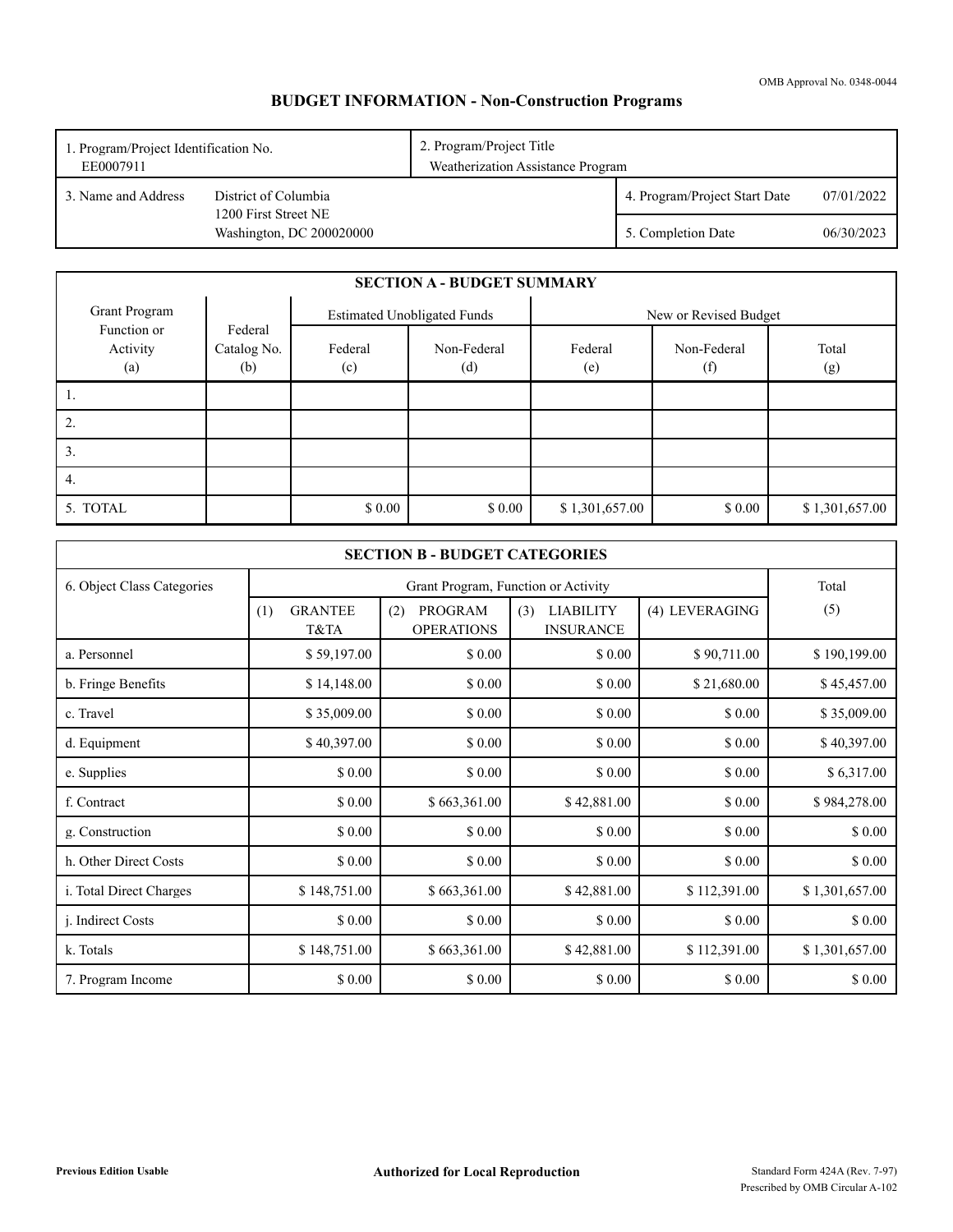# **BUDGET INFORMATION - Non-Construction Programs**

| 2. Program/Project Title<br>1. Program/Project Identification No.<br>Weatherization Assistance Program<br>EE0007911 |                                                  |  |                               |            |
|---------------------------------------------------------------------------------------------------------------------|--------------------------------------------------|--|-------------------------------|------------|
| 3. Name and Address<br>District of Columbia                                                                         |                                                  |  | 4. Program/Project Start Date | 07/01/2022 |
|                                                                                                                     | 1200 First Street NE<br>Washington, DC 200020000 |  | 5. Completion Date            | 06/30/2023 |

|                                |                               |                | <b>SECTION A - BUDGET SUMMARY</b>  |                |                       |                |
|--------------------------------|-------------------------------|----------------|------------------------------------|----------------|-----------------------|----------------|
| Grant Program                  |                               |                | <b>Estimated Unobligated Funds</b> |                | New or Revised Budget |                |
| Function or<br>Activity<br>(a) | Federal<br>Catalog No.<br>(b) | Federal<br>(c) | Non-Federal<br>(d)                 | Federal<br>(e) | Non-Federal<br>(f)    | Total<br>(g)   |
|                                |                               |                |                                    |                |                       |                |
| Ζ.                             |                               |                |                                    |                |                       |                |
| 3.                             |                               |                |                                    |                |                       |                |
| 4.                             |                               |                |                                    |                |                       |                |
| 5. TOTAL                       |                               | \$0.00         | \$0.00                             | \$1,301,657.00 | \$0.00                | \$1,301,657.00 |

|                            |                               | <b>SECTION B - BUDGET CATEGORIES</b> |                                             |                |                |  |
|----------------------------|-------------------------------|--------------------------------------|---------------------------------------------|----------------|----------------|--|
| 6. Object Class Categories |                               | Total                                |                                             |                |                |  |
|                            | <b>GRANTEE</b><br>(1)<br>T&TA | PROGRAM<br>(2)<br><b>OPERATIONS</b>  | (3)<br><b>LIABILITY</b><br><b>INSURANCE</b> | (4) LEVERAGING | (5)            |  |
| a. Personnel               | \$59,197.00                   | \$0.00                               | \$0.00                                      | \$90,711.00    | \$190,199.00   |  |
| b. Fringe Benefits         | \$14,148.00                   | \$0.00                               | \$ 0.00                                     | \$21,680.00    | \$45,457.00    |  |
| c. Travel                  | \$35,009.00                   | \$0.00                               | \$0.00                                      | \$0.00         | \$35,009.00    |  |
| d. Equipment               | \$40,397.00                   | \$0.00                               | \$0.00                                      | \$0.00         | \$40,397.00    |  |
| e. Supplies                | \$ 0.00                       | \$0.00                               | \$0.00                                      | \$ 0.00        | \$6,317.00     |  |
| f. Contract                | \$ 0.00                       | \$663,361.00                         | \$42,881.00                                 | \$ 0.00        | \$984,278.00   |  |
| g. Construction            | \$0.00                        | \$0.00                               | \$0.00                                      | \$ 0.00        | \$0.00         |  |
| h. Other Direct Costs      | \$0.00                        | \$0.00                               | \$0.00                                      | \$ 0.00        | \$ 0.00        |  |
| i. Total Direct Charges    | \$148,751.00                  | \$663,361.00                         | \$42,881.00                                 | \$112,391.00   | \$1,301,657.00 |  |
| <i>i.</i> Indirect Costs   | \$0.00                        | \$0.00                               | \$0.00                                      | \$0.00         | \$0.00         |  |
| k. Totals                  | \$148,751.00                  | \$663,361.00                         | \$42,881.00                                 | \$112,391.00   | \$1,301,657.00 |  |
| 7. Program Income          | \$0.00                        | \$0.00                               | \$0.00                                      | \$0.00         | \$0.00         |  |